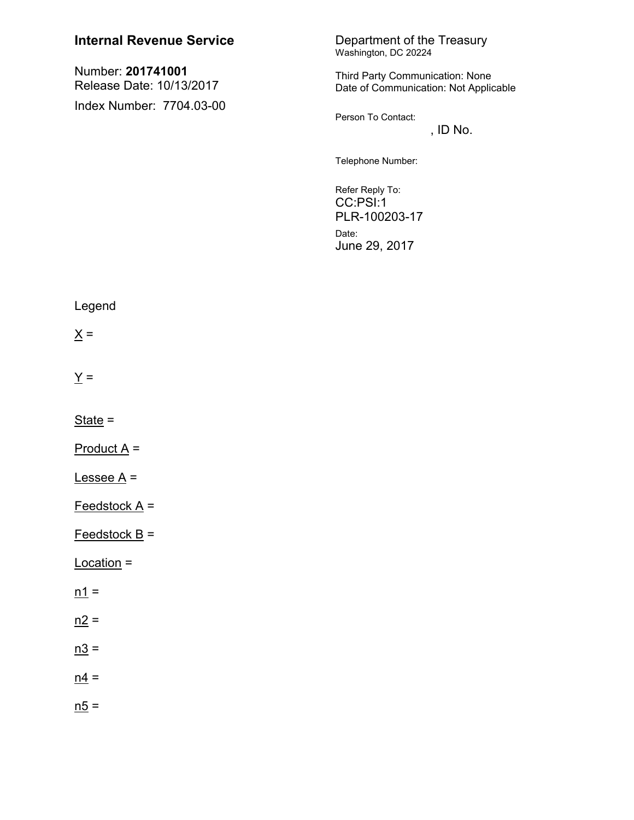| <b>Internal Revenue Service</b>                                           | Department of the Treasury<br>Washington, DC 20224                                                                                                                                                        |
|---------------------------------------------------------------------------|-----------------------------------------------------------------------------------------------------------------------------------------------------------------------------------------------------------|
| Number: 201741001<br>Release Date: 10/13/2017<br>Index Number: 7704.03-00 | Third Party Communication: None<br>Date of Communication: Not Applicable<br>Person To Contact:<br>, ID No.<br>Telephone Number:<br>Refer Reply To:<br>CC:PSI:1<br>PLR-100203-17<br>Date:<br>June 29, 2017 |
| Legend                                                                    |                                                                                                                                                                                                           |
| $\underline{X} =$                                                         |                                                                                                                                                                                                           |
| $\underline{Y}$ =                                                         |                                                                                                                                                                                                           |
| $State =$                                                                 |                                                                                                                                                                                                           |
| $Product A =$                                                             |                                                                                                                                                                                                           |
| <u>Lessee A</u> =                                                         |                                                                                                                                                                                                           |
| $Feedstock A =$                                                           |                                                                                                                                                                                                           |
| $Feedstock B =$                                                           |                                                                                                                                                                                                           |
| Location =                                                                |                                                                                                                                                                                                           |
| $n1 =$                                                                    |                                                                                                                                                                                                           |
| $n2 =$                                                                    |                                                                                                                                                                                                           |
| $n3 =$                                                                    |                                                                                                                                                                                                           |
| $n4 =$                                                                    |                                                                                                                                                                                                           |
| $n5 =$                                                                    |                                                                                                                                                                                                           |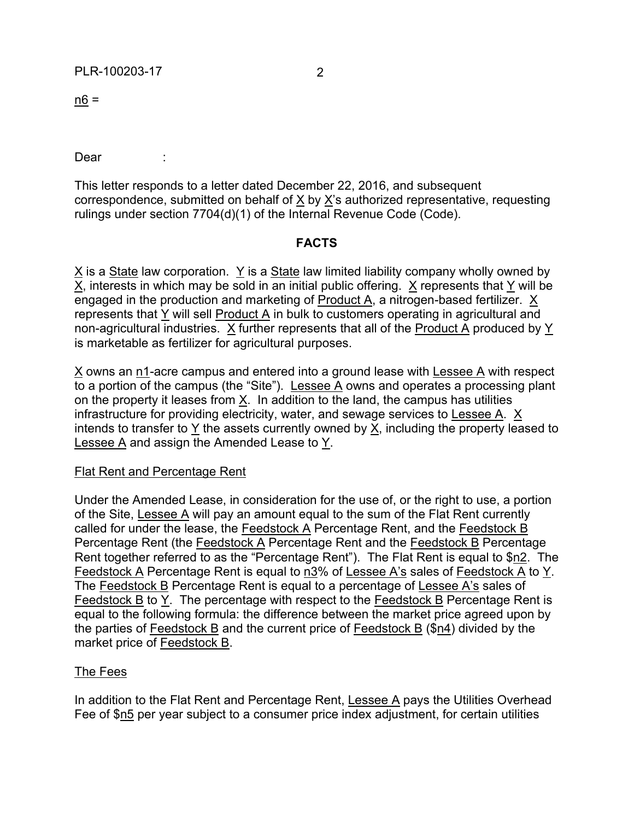$n6 =$ 

Dear :

This letter responds to a letter dated December 22, 2016, and subsequent correspondence, submitted on behalf of X by X's authorized representative, requesting rulings under section 7704(d)(1) of the Internal Revenue Code (Code).

### **FACTS**

 $X$  is a State law corporation. Y is a State law limited liability company wholly owned by X, interests in which may be sold in an initial public offering. X represents that Y will be engaged in the production and marketing of Product A, a nitrogen-based fertilizer. X represents that Y will sell Product A in bulk to customers operating in agricultural and non-agricultural industries. X further represents that all of the Product A produced by Y is marketable as fertilizer for agricultural purposes.

X owns an n1-acre campus and entered into a ground lease with Lessee A with respect to a portion of the campus (the "Site"). Lessee A owns and operates a processing plant on the property it leases from X. In addition to the land, the campus has utilities infrastructure for providing electricity, water, and sewage services to Lessee A. X intends to transfer to Y the assets currently owned by X, including the property leased to Lessee A and assign the Amended Lease to Y.

# **Flat Rent and Percentage Rent**

Under the Amended Lease, in consideration for the use of, or the right to use, a portion of the Site, Lessee A will pay an amount equal to the sum of the Flat Rent currently called for under the lease, the Feedstock A Percentage Rent, and the Feedstock B Percentage Rent (the Feedstock A Percentage Rent and the Feedstock B Percentage Rent together referred to as the "Percentage Rent"). The Flat Rent is equal to \$n2. The Feedstock A Percentage Rent is equal to n3% of Lessee A's sales of Feedstock A to Y. The Feedstock B Percentage Rent is equal to a percentage of Lessee A's sales of Feedstock B to Y. The percentage with respect to the Feedstock B Percentage Rent is equal to the following formula: the difference between the market price agreed upon by the parties of Feedstock B and the current price of Feedstock B (\$n4) divided by the market price of Feedstock B.

# The Fees

In addition to the Flat Rent and Percentage Rent, Lessee A pays the Utilities Overhead Fee of \$n5 per year subject to a consumer price index adjustment, for certain utilities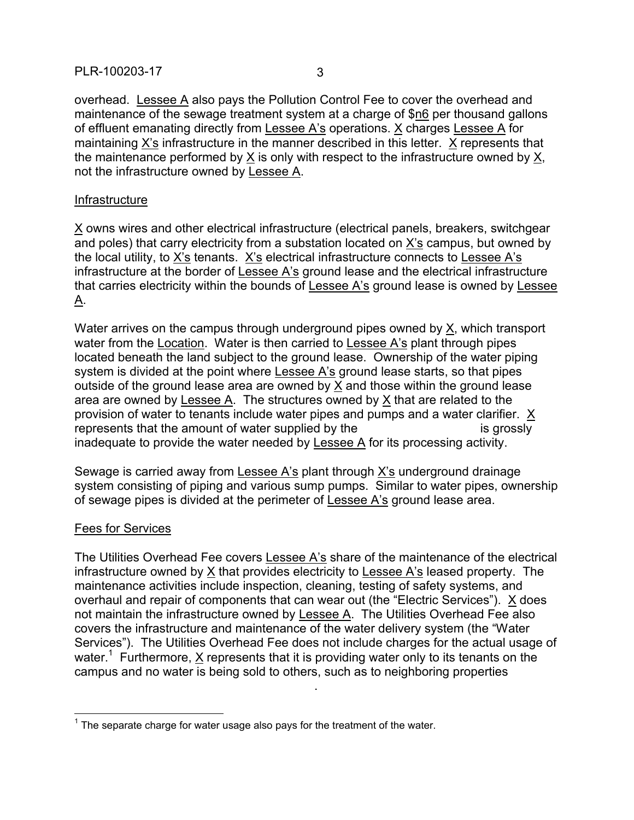overhead. Lessee A also pays the Pollution Control Fee to cover the overhead and maintenance of the sewage treatment system at a charge of \$n6 per thousand gallons of effluent emanating directly from Lessee A's operations. X charges Lessee A for maintaining X's infrastructure in the manner described in this letter. X represents that the maintenance performed by X is only with respect to the infrastructure owned by X, not the infrastructure owned by Lessee A.

### Infrastructure

X owns wires and other electrical infrastructure (electrical panels, breakers, switchgear and poles) that carry electricity from a substation located on X's campus, but owned by the local utility, to X's tenants. X's electrical infrastructure connects to Lessee A's infrastructure at the border of Lessee A's ground lease and the electrical infrastructure that carries electricity within the bounds of Lessee A's ground lease is owned by Lessee A.

Water arrives on the campus through underground pipes owned by X, which transport water from the Location. Water is then carried to Lessee A's plant through pipes located beneath the land subject to the ground lease. Ownership of the water piping system is divided at the point where Lessee A's ground lease starts, so that pipes outside of the ground lease area are owned by X and those within the ground lease area are owned by Lessee A. The structures owned by X that are related to the provision of water to tenants include water pipes and pumps and a water clarifier. X represents that the amount of water supplied by the ---------------------------- is grossly inadequate to provide the water needed by Lessee A for its processing activity.

Sewage is carried away from Lessee A's plant through X's underground drainage system consisting of piping and various sump pumps. Similar to water pipes, ownership of sewage pipes is divided at the perimeter of Lessee A's ground lease area.

#### Fees for Services

 $\overline{a}$ 

The Utilities Overhead Fee covers Lessee A's share of the maintenance of the electrical infrastructure owned by X that provides electricity to Lessee A's leased property. The maintenance activities include inspection, cleaning, testing of safety systems, and overhaul and repair of components that can wear out (the "Electric Services"). X does not maintain the infrastructure owned by Lessee A. The Utilities Overhead Fee also covers the infrastructure and maintenance of the water delivery system (the "Water Services"). The Utilities Overhead Fee does not include charges for the actual usage of water.<sup>1</sup> Furthermore,  $\underline{X}$  represents that it is providing water only to its tenants on the campus and no water is being sold to others, such as to neighboring properties

 $-1-\frac{1}{2}$  and  $-1-\frac{1}{2}$  and  $-1-\frac{1}{2}$  and  $-1-\frac{1}{2}$  and  $-1-\frac{1}{2}$ 

 $1$  The separate charge for water usage also pays for the treatment of the water.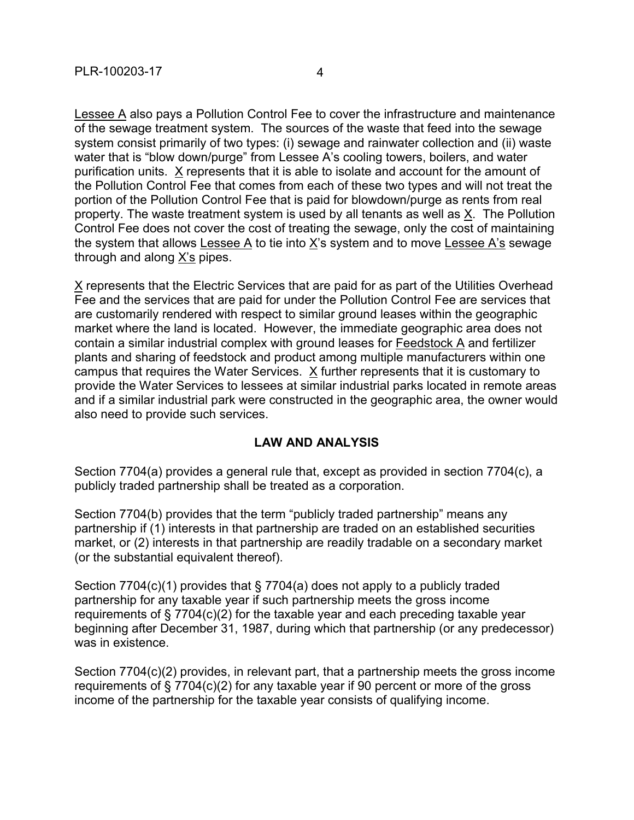Lessee A also pays a Pollution Control Fee to cover the infrastructure and maintenance of the sewage treatment system. The sources of the waste that feed into the sewage system consist primarily of two types: (i) sewage and rainwater collection and (ii) waste water that is "blow down/purge" from Lessee A's cooling towers, boilers, and water purification units. X represents that it is able to isolate and account for the amount of the Pollution Control Fee that comes from each of these two types and will not treat the portion of the Pollution Control Fee that is paid for blowdown/purge as rents from real property. The waste treatment system is used by all tenants as well as X. The Pollution Control Fee does not cover the cost of treating the sewage, only the cost of maintaining the system that allows Lessee  $\overline{A}$  to tie into  $\underline{X}$ 's system and to move Lessee A's sewage through and along X's pipes.

X represents that the Electric Services that are paid for as part of the Utilities Overhead Fee and the services that are paid for under the Pollution Control Fee are services that are customarily rendered with respect to similar ground leases within the geographic market where the land is located. However, the immediate geographic area does not contain a similar industrial complex with ground leases for Feedstock A and fertilizer plants and sharing of feedstock and product among multiple manufacturers within one campus that requires the Water Services. X further represents that it is customary to provide the Water Services to lessees at similar industrial parks located in remote areas and if a similar industrial park were constructed in the geographic area, the owner would also need to provide such services.

# **LAW AND ANALYSIS**

Section 7704(a) provides a general rule that, except as provided in section 7704(c), a publicly traded partnership shall be treated as a corporation.

Section 7704(b) provides that the term "publicly traded partnership" means any partnership if (1) interests in that partnership are traded on an established securities market, or (2) interests in that partnership are readily tradable on a secondary market (or the substantial equivalent thereof).

Section 7704(c)(1) provides that § 7704(a) does not apply to a publicly traded partnership for any taxable year if such partnership meets the gross income requirements of § 7704(c)(2) for the taxable year and each preceding taxable year beginning after December 31, 1987, during which that partnership (or any predecessor) was in existence.

Section 7704(c)(2) provides, in relevant part, that a partnership meets the gross income requirements of § 7704(c)(2) for any taxable year if 90 percent or more of the gross income of the partnership for the taxable year consists of qualifying income.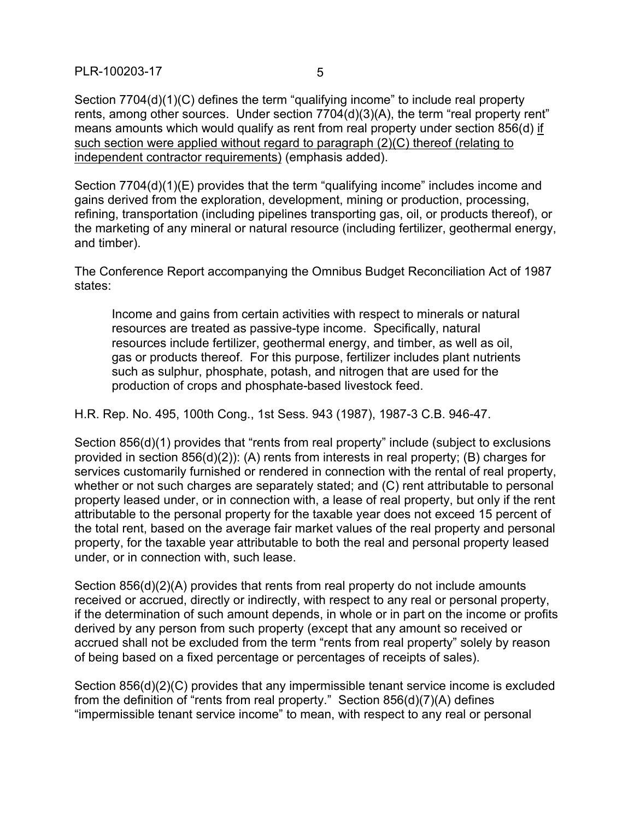PLR-100203-17 5

Section 7704(d)(1)(C) defines the term "qualifying income" to include real property rents, among other sources. Under section 7704(d)(3)(A), the term "real property rent" means amounts which would qualify as rent from real property under section 856(d) if such section were applied without regard to paragraph (2)(C) thereof (relating to independent contractor requirements) (emphasis added).

Section 7704(d)(1)(E) provides that the term "qualifying income" includes income and gains derived from the exploration, development, mining or production, processing, refining, transportation (including pipelines transporting gas, oil, or products thereof), or the marketing of any mineral or natural resource (including fertilizer, geothermal energy, and timber).

The Conference Report accompanying the Omnibus Budget Reconciliation Act of 1987 states:

Income and gains from certain activities with respect to minerals or natural resources are treated as passive-type income. Specifically, natural resources include fertilizer, geothermal energy, and timber, as well as oil, gas or products thereof. For this purpose, fertilizer includes plant nutrients such as sulphur, phosphate, potash, and nitrogen that are used for the production of crops and phosphate-based livestock feed.

H.R. Rep. No. 495, 100th Cong., 1st Sess. 943 (1987), 1987-3 C.B. 946-47.

Section 856(d)(1) provides that "rents from real property" include (subject to exclusions provided in section 856(d)(2)): (A) rents from interests in real property; (B) charges for services customarily furnished or rendered in connection with the rental of real property, whether or not such charges are separately stated; and (C) rent attributable to personal property leased under, or in connection with, a lease of real property, but only if the rent attributable to the personal property for the taxable year does not exceed 15 percent of the total rent, based on the average fair market values of the real property and personal property, for the taxable year attributable to both the real and personal property leased under, or in connection with, such lease.

Section 856(d)(2)(A) provides that rents from real property do not include amounts received or accrued, directly or indirectly, with respect to any real or personal property, if the determination of such amount depends, in whole or in part on the income or profits derived by any person from such property (except that any amount so received or accrued shall not be excluded from the term "rents from real property" solely by reason of being based on a fixed percentage or percentages of receipts of sales).

Section 856(d)(2)(C) provides that any impermissible tenant service income is excluded from the definition of "rents from real property." Section 856(d)(7)(A) defines "impermissible tenant service income" to mean, with respect to any real or personal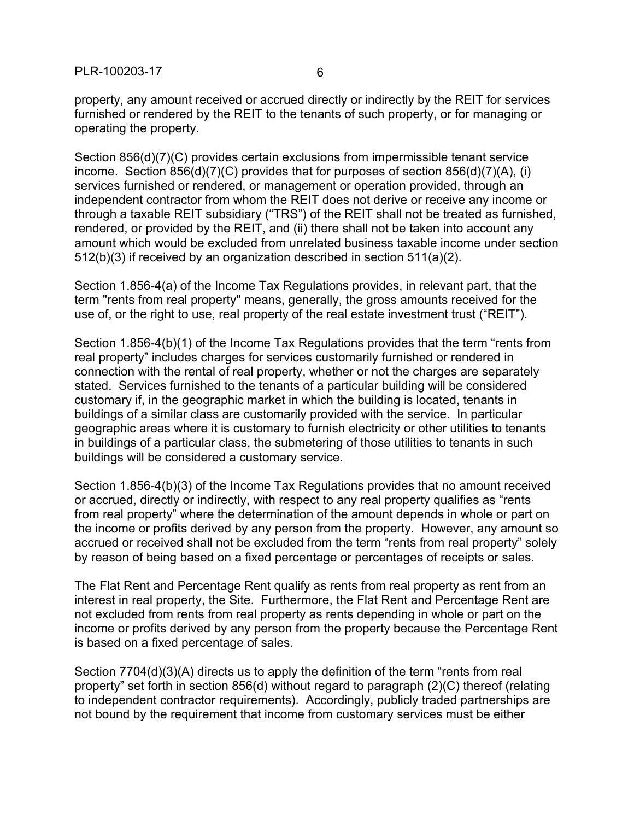PLR-100203-17 6

property, any amount received or accrued directly or indirectly by the REIT for services furnished or rendered by the REIT to the tenants of such property, or for managing or operating the property.

Section 856(d)(7)(C) provides certain exclusions from impermissible tenant service income. Section 856(d)(7)(C) provides that for purposes of section 856(d)(7)(A), (i) services furnished or rendered, or management or operation provided, through an independent contractor from whom the REIT does not derive or receive any income or through a taxable REIT subsidiary ("TRS") of the REIT shall not be treated as furnished, rendered, or provided by the REIT, and (ii) there shall not be taken into account any amount which would be excluded from unrelated business taxable income under section 512(b)(3) if received by an organization described in section 511(a)(2).

Section 1.856-4(a) of the Income Tax Regulations provides, in relevant part, that the term "rents from real property" means, generally, the gross amounts received for the use of, or the right to use, real property of the real estate investment trust ("REIT").

Section 1.856-4(b)(1) of the Income Tax Regulations provides that the term "rents from real property" includes charges for services customarily furnished or rendered in connection with the rental of real property, whether or not the charges are separately stated. Services furnished to the tenants of a particular building will be considered customary if, in the geographic market in which the building is located, tenants in buildings of a similar class are customarily provided with the service. In particular geographic areas where it is customary to furnish electricity or other utilities to tenants in buildings of a particular class, the submetering of those utilities to tenants in such buildings will be considered a customary service.

Section 1.856-4(b)(3) of the Income Tax Regulations provides that no amount received or accrued, directly or indirectly, with respect to any real property qualifies as "rents from real property" where the determination of the amount depends in whole or part on the income or profits derived by any person from the property. However, any amount so accrued or received shall not be excluded from the term "rents from real property" solely by reason of being based on a fixed percentage or percentages of receipts or sales.

The Flat Rent and Percentage Rent qualify as rents from real property as rent from an interest in real property, the Site. Furthermore, the Flat Rent and Percentage Rent are not excluded from rents from real property as rents depending in whole or part on the income or profits derived by any person from the property because the Percentage Rent is based on a fixed percentage of sales.

Section 7704(d)(3)(A) directs us to apply the definition of the term "rents from real property" set forth in section 856(d) without regard to paragraph (2)(C) thereof (relating to independent contractor requirements). Accordingly, publicly traded partnerships are not bound by the requirement that income from customary services must be either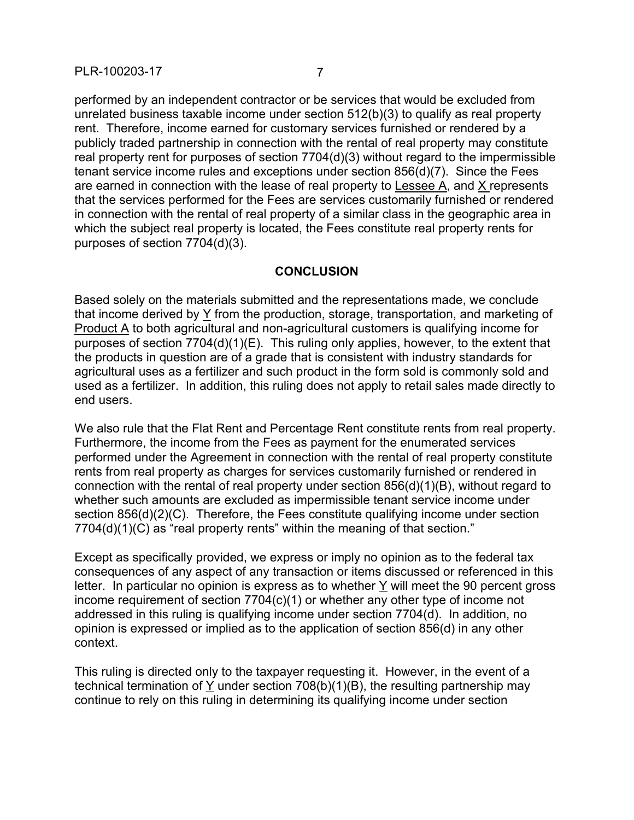performed by an independent contractor or be services that would be excluded from unrelated business taxable income under section 512(b)(3) to qualify as real property rent. Therefore, income earned for customary services furnished or rendered by a publicly traded partnership in connection with the rental of real property may constitute real property rent for purposes of section 7704(d)(3) without regard to the impermissible tenant service income rules and exceptions under section 856(d)(7). Since the Fees are earned in connection with the lease of real property to Lessee A, and X represents that the services performed for the Fees are services customarily furnished or rendered in connection with the rental of real property of a similar class in the geographic area in which the subject real property is located, the Fees constitute real property rents for purposes of section 7704(d)(3).

# **CONCLUSION**

Based solely on the materials submitted and the representations made, we conclude that income derived by Y from the production, storage, transportation, and marketing of Product A to both agricultural and non-agricultural customers is qualifying income for purposes of section 7704(d)(1)(E). This ruling only applies, however, to the extent that the products in question are of a grade that is consistent with industry standards for agricultural uses as a fertilizer and such product in the form sold is commonly sold and used as a fertilizer. In addition, this ruling does not apply to retail sales made directly to end users.

We also rule that the Flat Rent and Percentage Rent constitute rents from real property. Furthermore, the income from the Fees as payment for the enumerated services performed under the Agreement in connection with the rental of real property constitute rents from real property as charges for services customarily furnished or rendered in connection with the rental of real property under section 856(d)(1)(B), without regard to whether such amounts are excluded as impermissible tenant service income under section 856(d)(2)(C). Therefore, the Fees constitute qualifying income under section 7704(d)(1)(C) as "real property rents" within the meaning of that section."

Except as specifically provided, we express or imply no opinion as to the federal tax consequences of any aspect of any transaction or items discussed or referenced in this letter. In particular no opinion is express as to whether Y will meet the 90 percent gross income requirement of section 7704(c)(1) or whether any other type of income not addressed in this ruling is qualifying income under section 7704(d). In addition, no opinion is expressed or implied as to the application of section 856(d) in any other context.

This ruling is directed only to the taxpayer requesting it. However, in the event of a technical termination of Y under section 708(b)(1)(B), the resulting partnership may continue to rely on this ruling in determining its qualifying income under section